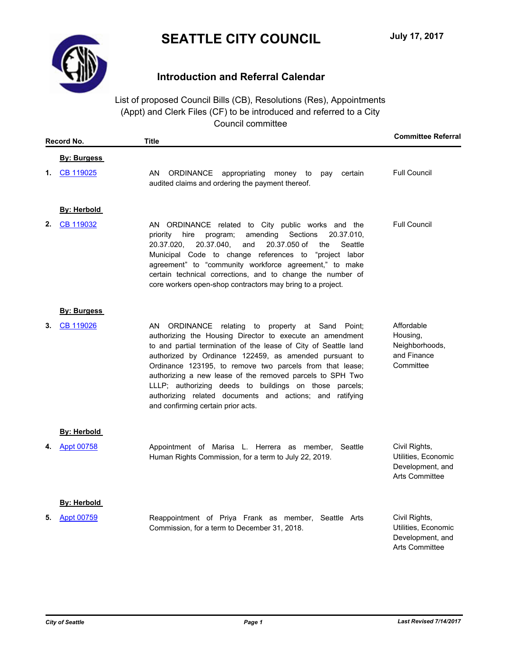

# **Introduction and Referral Calendar**

List of proposed Council Bills (CB), Resolutions (Res), Appointments (Appt) and Clerk Files (CF) to be introduced and referred to a City Council committee

| Record No. |                    | <b>Title</b>                                                                                                                                                                                                                                                                                                                                                                                                                                                                                                                         | <b>Committee Referral</b>                                                         |
|------------|--------------------|--------------------------------------------------------------------------------------------------------------------------------------------------------------------------------------------------------------------------------------------------------------------------------------------------------------------------------------------------------------------------------------------------------------------------------------------------------------------------------------------------------------------------------------|-----------------------------------------------------------------------------------|
|            | <b>By: Burgess</b> |                                                                                                                                                                                                                                                                                                                                                                                                                                                                                                                                      |                                                                                   |
| 1.         | CB 119025          | ORDINANCE appropriating money to<br>AN.<br>certain<br>pay<br>audited claims and ordering the payment thereof.                                                                                                                                                                                                                                                                                                                                                                                                                        | <b>Full Council</b>                                                               |
|            | <b>By: Herbold</b> |                                                                                                                                                                                                                                                                                                                                                                                                                                                                                                                                      |                                                                                   |
| 2.         | CB 119032          | AN ORDINANCE related to City public works and the<br>amending<br>Sections<br>20.37.010,<br>priority<br>hire<br>program;<br>20.37.040,<br>20.37.050 of<br>20.37.020,<br>and<br>Seattle<br>the<br>Municipal Code to change references to<br>"project labor<br>agreement" to "community workforce agreement," to make<br>certain technical corrections, and to change the number of<br>core workers open-shop contractors may bring to a project.                                                                                       | <b>Full Council</b>                                                               |
|            | <b>By: Burgess</b> |                                                                                                                                                                                                                                                                                                                                                                                                                                                                                                                                      |                                                                                   |
| 3.         | CB 119026          | ORDINANCE relating<br>AN<br>to property at Sand Point;<br>authorizing the Housing Director to execute an amendment<br>to and partial termination of the lease of City of Seattle land<br>authorized by Ordinance 122459, as amended pursuant to<br>Ordinance 123195, to remove two parcels from that lease;<br>authorizing a new lease of the removed parcels to SPH Two<br>LLLP; authorizing deeds to buildings on those parcels;<br>authorizing related documents and actions; and ratifying<br>and confirming certain prior acts. | Affordable<br>Housing,<br>Neighborhoods,<br>and Finance<br>Committee              |
|            | <b>By: Herbold</b> |                                                                                                                                                                                                                                                                                                                                                                                                                                                                                                                                      |                                                                                   |
| 4.         | Appt 00758         | Appointment of Marisa L. Herrera as member, Seattle<br>Human Rights Commission, for a term to July 22, 2019.                                                                                                                                                                                                                                                                                                                                                                                                                         | Civil Rights,<br>Utilities, Economic<br>Development, and<br>Arts Committee        |
|            | <b>By: Herbold</b> |                                                                                                                                                                                                                                                                                                                                                                                                                                                                                                                                      |                                                                                   |
| 5.         | Appt 00759         | Reappointment of Priya Frank as member, Seattle Arts<br>Commission, for a term to December 31, 2018.                                                                                                                                                                                                                                                                                                                                                                                                                                 | Civil Rights,<br>Utilities, Economic<br>Development, and<br><b>Arts Committee</b> |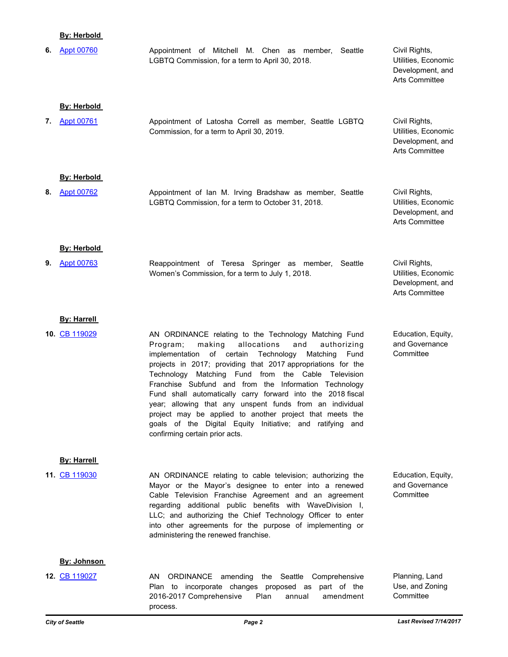## **By: Herbold**

| 6. | <b>Appt 00760</b>  | Appointment of Mitchell M. Chen as member, Seattle<br>LGBTQ Commission, for a term to April 30, 2018.                                                                                                                                                                                                                                                                                                                                                                                                                                                                                                                                                | Civil Rights,<br>Utilities, Economic<br>Development, and<br>Arts Committee        |
|----|--------------------|------------------------------------------------------------------------------------------------------------------------------------------------------------------------------------------------------------------------------------------------------------------------------------------------------------------------------------------------------------------------------------------------------------------------------------------------------------------------------------------------------------------------------------------------------------------------------------------------------------------------------------------------------|-----------------------------------------------------------------------------------|
|    | <b>By: Herbold</b> |                                                                                                                                                                                                                                                                                                                                                                                                                                                                                                                                                                                                                                                      |                                                                                   |
| 7. | <b>Appt 00761</b>  | Appointment of Latosha Correll as member, Seattle LGBTQ<br>Commission, for a term to April 30, 2019.                                                                                                                                                                                                                                                                                                                                                                                                                                                                                                                                                 | Civil Rights,<br>Utilities, Economic<br>Development, and<br><b>Arts Committee</b> |
|    | <b>By: Herbold</b> |                                                                                                                                                                                                                                                                                                                                                                                                                                                                                                                                                                                                                                                      |                                                                                   |
| 8. | <b>Appt 00762</b>  | Appointment of Ian M. Irving Bradshaw as member, Seattle<br>LGBTQ Commission, for a term to October 31, 2018.                                                                                                                                                                                                                                                                                                                                                                                                                                                                                                                                        | Civil Rights,<br>Utilities, Economic<br>Development, and<br><b>Arts Committee</b> |
|    | <b>By: Herbold</b> |                                                                                                                                                                                                                                                                                                                                                                                                                                                                                                                                                                                                                                                      |                                                                                   |
| 9. | <b>Appt 00763</b>  | Reappointment of Teresa Springer as member,<br>Seattle<br>Women's Commission, for a term to July 1, 2018.                                                                                                                                                                                                                                                                                                                                                                                                                                                                                                                                            | Civil Rights,<br>Utilities, Economic<br>Development, and<br>Arts Committee        |
|    | <b>By: Harrell</b> |                                                                                                                                                                                                                                                                                                                                                                                                                                                                                                                                                                                                                                                      |                                                                                   |
|    | 10. CB 119029      | AN ORDINANCE relating to the Technology Matching Fund<br>allocations<br>Program;<br>making<br>and<br>authorizing<br>implementation of certain<br>Technology<br>Matching<br>Fund<br>projects in 2017; providing that 2017 appropriations for the<br>Technology Matching Fund from the Cable Television<br>Franchise Subfund and from the Information Technology<br>Fund shall automatically carry forward into the 2018 fiscal<br>year; allowing that any unspent funds from an individual<br>project may be applied to another project that meets the<br>goals of the Digital Equity Initiative; and ratifying and<br>confirming certain prior acts. | Education, Equity,<br>and Governance<br>Committee                                 |
|    | <b>By: Harrell</b> |                                                                                                                                                                                                                                                                                                                                                                                                                                                                                                                                                                                                                                                      |                                                                                   |
|    | 11. CB 119030      | AN ORDINANCE relating to cable television; authorizing the<br>Mayor or the Mayor's designee to enter into a renewed<br>Cable Television Franchise Agreement and an agreement<br>regarding additional public benefits with WaveDivision I,<br>LLC; and authorizing the Chief Technology Officer to enter<br>into other agreements for the purpose of implementing or<br>administering the renewed franchise.                                                                                                                                                                                                                                          | Education, Equity,<br>and Governance<br>Committee                                 |
|    | By: Johnson        |                                                                                                                                                                                                                                                                                                                                                                                                                                                                                                                                                                                                                                                      |                                                                                   |
|    | 12. CB 119027      | ΑN<br><b>ORDINANCE</b><br>the Seattle<br>amending<br>Comprehensive<br>Plan to incorporate changes proposed as part of the<br>2016-2017 Comprehensive<br>Plan<br>annual<br>amendment                                                                                                                                                                                                                                                                                                                                                                                                                                                                  | Planning, Land<br>Use, and Zoning<br>Committee                                    |

process.